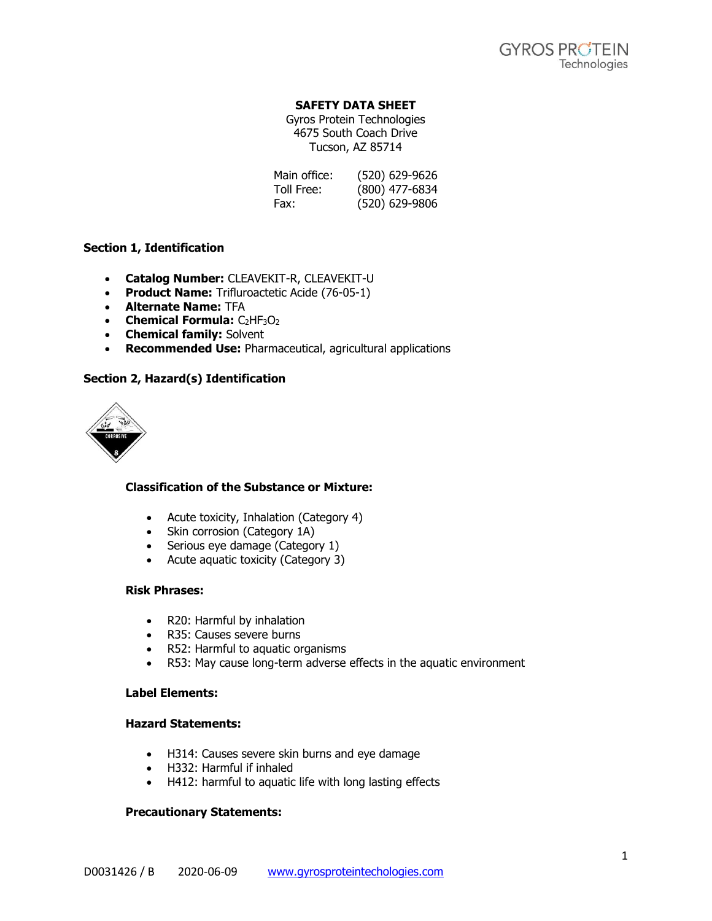# **SAFETY DATA SHEET**

Gyros Protein Technologies 4675 South Coach Drive Tucson, AZ 85714

| Main office: | (520) 629-9626 |
|--------------|----------------|
| Toll Free:   | (800) 477-6834 |
| Fax:         | (520) 629-9806 |

### **Section 1, Identification**

- **Catalog Number:** CLEAVEKIT-R, CLEAVEKIT-U
- **Product Name:** Trifluroactetic Acide (76-05-1)
- **Alternate Name:** TFA
- **Chemical Formula:** C<sub>2</sub>HF<sub>3</sub>O<sub>2</sub>
- **Chemical family:** Solvent
- **Recommended Use:** Pharmaceutical, agricultural applications

### **Section 2, Hazard(s) Identification**



# **Classification of the Substance or Mixture:**

- Acute toxicity, Inhalation (Category 4)
- Skin corrosion (Category 1A)
- Serious eye damage (Category 1)
- Acute aquatic toxicity (Category 3)

#### **Risk Phrases:**

- R20: Harmful by inhalation
- R35: Causes severe burns
- R52: Harmful to aquatic organisms
- R53: May cause long-term adverse effects in the aquatic environment

### **Label Elements:**

### **Hazard Statements:**

- H314: Causes severe skin burns and eye damage
- H332: Harmful if inhaled
- H412: harmful to aquatic life with long lasting effects

#### **Precautionary Statements:**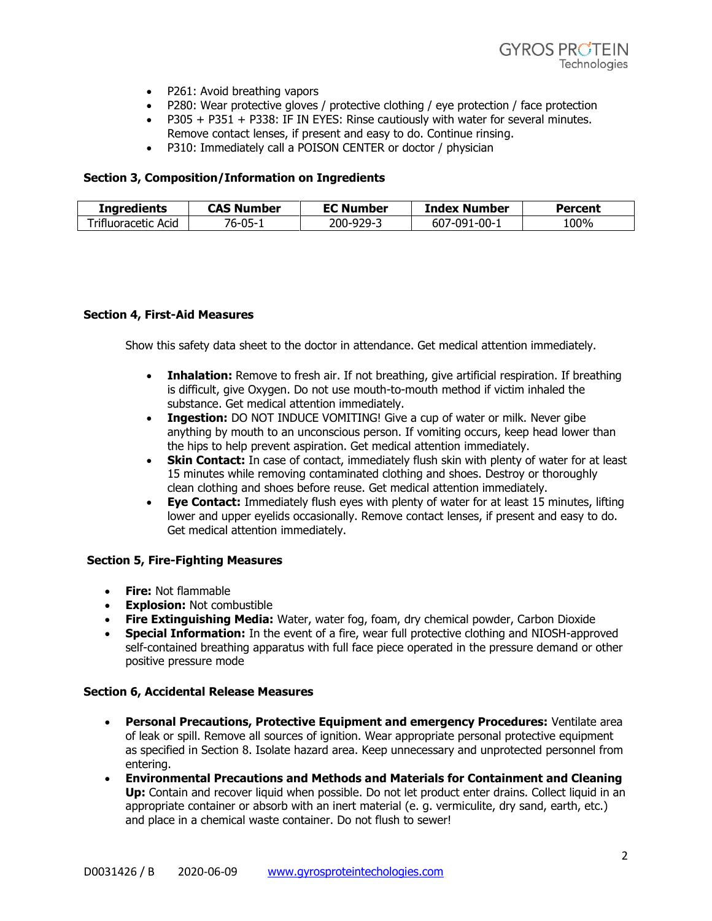- P261: Avoid breathing vapors
- P280: Wear protective gloves / protective clothing / eye protection / face protection
- P305 + P351 + P338: IF IN EYES: Rinse cautiously with water for several minutes. Remove contact lenses, if present and easy to do. Continue rinsing.
- P310: Immediately call a POISON CENTER or doctor / physician

# **Section 3, Composition/Information on Ingredients**

| Ingredients                       | .<br>` Number   | <b>EC Number</b> | <b>Index Number</b>   | Percent |
|-----------------------------------|-----------------|------------------|-----------------------|---------|
| - 21<br>Acid<br><br>retir<br>ਮ ਰਾ | _ባ5-<br>n-<br>ັ | 200-9<br>u-      | । -በበ-<br>∕-∩o′<br>bu | 00%،    |

### **Section 4, First-Aid Measures**

Show this safety data sheet to the doctor in attendance. Get medical attention immediately.

- **Inhalation:** Remove to fresh air. If not breathing, give artificial respiration. If breathing is difficult, give Oxygen. Do not use mouth-to-mouth method if victim inhaled the substance. Get medical attention immediately.
- **Ingestion:** DO NOT INDUCE VOMITING! Give a cup of water or milk. Never gibe anything by mouth to an unconscious person. If vomiting occurs, keep head lower than the hips to help prevent aspiration. Get medical attention immediately.
- **Skin Contact:** In case of contact, immediately flush skin with plenty of water for at least 15 minutes while removing contaminated clothing and shoes. Destroy or thoroughly clean clothing and shoes before reuse. Get medical attention immediately.
- **Eye Contact:** Immediately flush eyes with plenty of water for at least 15 minutes, lifting lower and upper eyelids occasionally. Remove contact lenses, if present and easy to do. Get medical attention immediately.

# **Section 5, Fire-Fighting Measures**

- **Fire:** Not flammable
- **Explosion:** Not combustible
- **Fire Extinguishing Media:** Water, water fog, foam, dry chemical powder, Carbon Dioxide
- **Special Information:** In the event of a fire, wear full protective clothing and NIOSH-approved self-contained breathing apparatus with full face piece operated in the pressure demand or other positive pressure mode

#### **Section 6, Accidental Release Measures**

- **Personal Precautions, Protective Equipment and emergency Procedures:** Ventilate area of leak or spill. Remove all sources of ignition. Wear appropriate personal protective equipment as specified in Section 8. Isolate hazard area. Keep unnecessary and unprotected personnel from entering.
- **Environmental Precautions and Methods and Materials for Containment and Cleaning Up:** Contain and recover liquid when possible. Do not let product enter drains. Collect liquid in an appropriate container or absorb with an inert material (e. g. vermiculite, dry sand, earth, etc.) and place in a chemical waste container. Do not flush to sewer!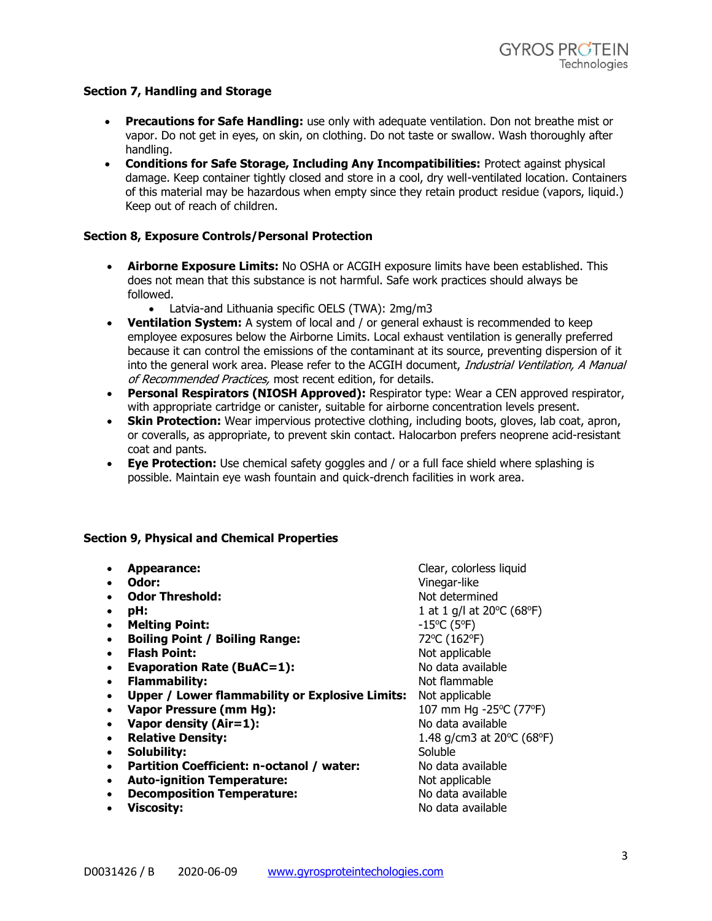# **Section 7, Handling and Storage**

- **Precautions for Safe Handling:** use only with adequate ventilation. Don not breathe mist or vapor. Do not get in eyes, on skin, on clothing. Do not taste or swallow. Wash thoroughly after handling.
- **Conditions for Safe Storage, Including Any Incompatibilities:** Protect against physical damage. Keep container tightly closed and store in a cool, dry well-ventilated location. Containers of this material may be hazardous when empty since they retain product residue (vapors, liquid.) Keep out of reach of children.

# **Section 8, Exposure Controls/Personal Protection**

- **Airborne Exposure Limits:** No OSHA or ACGIH exposure limits have been established. This does not mean that this substance is not harmful. Safe work practices should always be followed.
	- Latvia-and Lithuania specific OELS (TWA): 2mg/m3
- **Ventilation System:** A system of local and / or general exhaust is recommended to keep employee exposures below the Airborne Limits. Local exhaust ventilation is generally preferred because it can control the emissions of the contaminant at its source, preventing dispersion of it into the general work area. Please refer to the ACGIH document, Industrial Ventilation, A Manual of Recommended Practices, most recent edition, for details.
- **Personal Respirators (NIOSH Approved):** Respirator type: Wear a CEN approved respirator, with appropriate cartridge or canister, suitable for airborne concentration levels present.
- **Skin Protection:** Wear impervious protective clothing, including boots, gloves, lab coat, apron, or coveralls, as appropriate, to prevent skin contact. Halocarbon prefers neoprene acid-resistant coat and pants.
- **Eye Protection:** Use chemical safety goggles and / or a full face shield where splashing is possible. Maintain eye wash fountain and quick-drench facilities in work area.

# **Section 9, Physical and Chemical Properties**

• **Appearance:** Clear, colorless liquid • **Odor:** Vinegar-like • Odor Threshold: **Notifying the Solution State** Not determined • **pH:**  $1 \text{ at } 1 \text{ g/l at } 20^{\circ} \text{C (68}^{\circ} \text{F)}$ • **Melting Point:**  $-15^{\circ}C(5^{\circ}F)$ • **Boiling Point / Boiling Range:** 72°C (162°F) • **Flash Point:** Not applicable • **Evaporation Rate (BuAC=1):** No data available • **Flammability:** Not flammable • **Upper / Lower flammability or Explosive Limits:** Not applicable • Vapor Pressure (mm Hg): **107 mm Hg -25°C (77°F)** • Vapor density (Air=1): No data available • **Relative Density:**  $1.48 \text{ g/cm}3 \text{ at } 20^{\circ} \text{C (68}^{\circ} \text{F)}$ • **Solubility:** Soluble • **Partition Coefficient: n-octanol / water:** No data available • **Auto-ignition Temperature:** Not applicable • **Decomposition Temperature:** No data available • Viscosity: **All and Accept and Accept and Accept and Accept and Accept and Accept and Accept and Accept and Accept and Accept and Accept and Accept and Accept and Accept and Accept and Accept and Accept and Accept and Ac**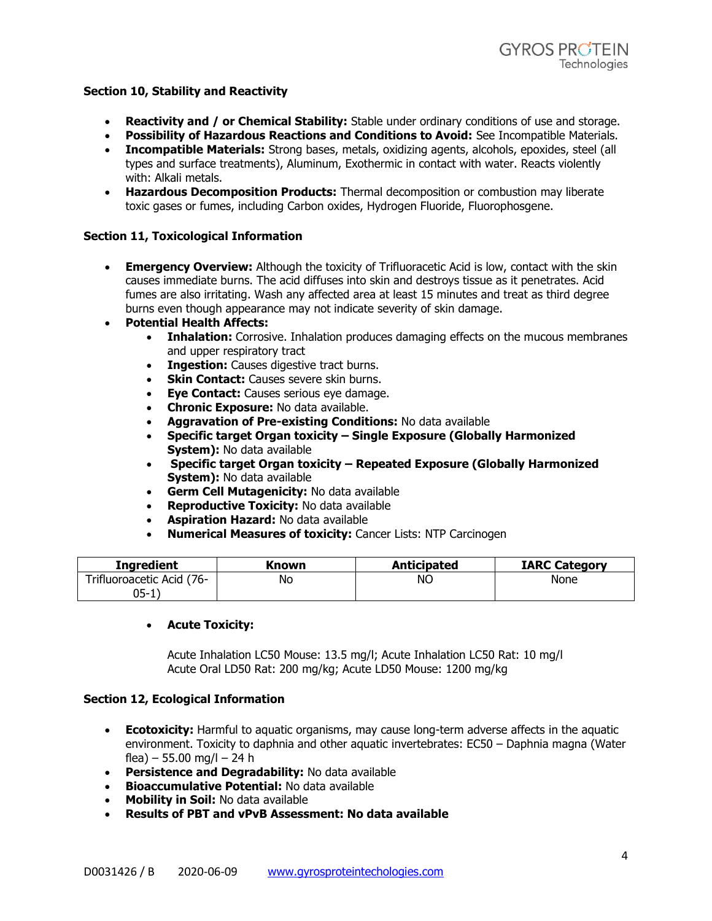### **Section 10, Stability and Reactivity**

- **Reactivity and / or Chemical Stability:** Stable under ordinary conditions of use and storage.
- **Possibility of Hazardous Reactions and Conditions to Avoid:** See Incompatible Materials.
- **Incompatible Materials:** Strong bases, metals, oxidizing agents, alcohols, epoxides, steel (all types and surface treatments), Aluminum, Exothermic in contact with water. Reacts violently with: Alkali metals.
- **Hazardous Decomposition Products:** Thermal decomposition or combustion may liberate toxic gases or fumes, including Carbon oxides, Hydrogen Fluoride, Fluorophosgene.

### **Section 11, Toxicological Information**

- **Emergency Overview:** Although the toxicity of Trifluoracetic Acid is low, contact with the skin causes immediate burns. The acid diffuses into skin and destroys tissue as it penetrates. Acid fumes are also irritating. Wash any affected area at least 15 minutes and treat as third degree burns even though appearance may not indicate severity of skin damage.
- **Potential Health Affects:**
	- **Inhalation:** Corrosive. Inhalation produces damaging effects on the mucous membranes and upper respiratory tract
	- **Ingestion:** Causes digestive tract burns.
	- **Skin Contact:** Causes severe skin burns.
	- **Eye Contact:** Causes serious eye damage.
	- **Chronic Exposure:** No data available.
	- **Aggravation of Pre-existing Conditions:** No data available
	- **Specific target Organ toxicity – Single Exposure (Globally Harmonized System):** No data available
	- **Specific target Organ toxicity – Repeated Exposure (Globally Harmonized System):** No data available
	- **Germ Cell Mutagenicity:** No data available
	- **Reproductive Toxicity:** No data available
	- **Aspiration Hazard:** No data available
	- **Numerical Measures of toxicity:** Cancer Lists: NTP Carcinogen

| <b>Ingredient</b>         | Known | <b>Anticipated</b> | <b>IARC Category</b> |
|---------------------------|-------|--------------------|----------------------|
| Trifluoroacetic Acid (76- | No    | ΝO                 | None                 |
| 05-                       |       |                    |                      |

# • **Acute Toxicity:**

Acute Inhalation LC50 Mouse: 13.5 mg/l; Acute Inhalation LC50 Rat: 10 mg/l Acute Oral LD50 Rat: 200 mg/kg; Acute LD50 Mouse: 1200 mg/kg

#### **Section 12, Ecological Information**

- **Ecotoxicity:** Harmful to aquatic organisms, may cause long-term adverse affects in the aquatic environment. Toxicity to daphnia and other aquatic invertebrates: EC50 – Daphnia magna (Water flea) – 55.00 mg/l – 24 h
- **Persistence and Degradability:** No data available
- **Bioaccumulative Potential:** No data available
- **Mobility in Soil:** No data available
- **Results of PBT and vPvB Assessment: No data available**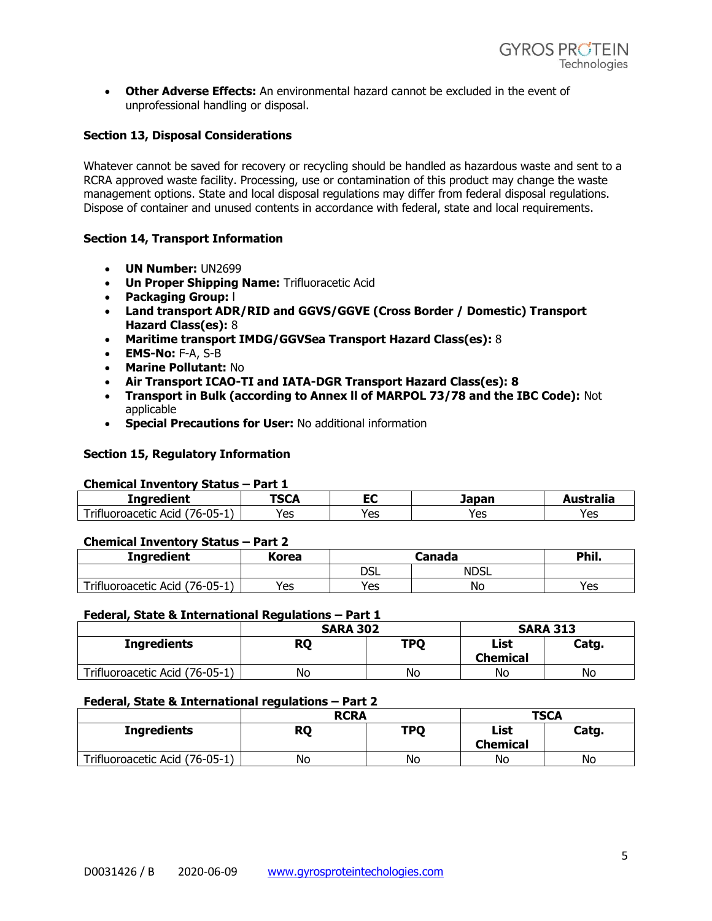• **Other Adverse Effects:** An environmental hazard cannot be excluded in the event of unprofessional handling or disposal.

# **Section 13, Disposal Considerations**

Whatever cannot be saved for recovery or recycling should be handled as hazardous waste and sent to a RCRA approved waste facility. Processing, use or contamination of this product may change the waste management options. State and local disposal regulations may differ from federal disposal regulations. Dispose of container and unused contents in accordance with federal, state and local requirements.

# **Section 14, Transport Information**

- **UN Number:** UN2699
- **Un Proper Shipping Name:** Trifluoracetic Acid
- **Packaging Group:** l
- **Land transport ADR/RID and GGVS/GGVE (Cross Border / Domestic) Transport Hazard Class(es):** 8
- **Maritime transport IMDG/GGVSea Transport Hazard Class(es):** 8
- **EMS-No:** F-A, S-B
- **Marine Pollutant:** No
- **Air Transport ICAO-TI and IATA-DGR Transport Hazard Class(es): 8**
- **Transport in Bulk (according to Annex ll of MARPOL 73/78 and the IBC Code):** Not applicable
- **Special Precautions for User:** No additional information

### **Section 15, Regulatory Information**

#### **Chemical Inventory Status – Part 1**

| ---------                                                                                                 |                             |            |     |          |  |
|-----------------------------------------------------------------------------------------------------------|-----------------------------|------------|-----|----------|--|
| Ingredient                                                                                                | -001<br>- -<br>Japan<br>つしん |            |     | ustralia |  |
| $\overline{\phantom{0}}$<br>$\sim$ $\sim$<br>$\sqrt{2}$<br><b>ACIC</b><br>$(0 - 1)$<br>ΈΠι<br>$\sim$<br>- | Yes                         | ∨∆o<br>د ب | Yes | Yes      |  |

#### **Chemical Inventory Status – Part 2**

| <b>Ingredient</b>                      | Korea |     | Phil.       |     |
|----------------------------------------|-------|-----|-------------|-----|
|                                        |       | DSL | <b>NDSL</b> |     |
| Trifluoroacetic Acid<br>$176 - 05 - 1$ | Yes   | Yes | No          | Yes |

### **Federal, State & International Regulations – Part 1**

|                                | <b>SARA 302</b> |            | <b>SARA 313</b>         |       |
|--------------------------------|-----------------|------------|-------------------------|-------|
| <b>Ingredients</b>             | <b>RQ</b>       | <b>TPO</b> | List<br><b>Chemical</b> | Catg. |
| Trifluoroacetic Acid (76-05-1) | No              | No         | No                      | No    |

### **Federal, State & International regulations – Part 2**

|                                | <b>RCRA</b> |            | <b>TSCA</b>             |       |
|--------------------------------|-------------|------------|-------------------------|-------|
| <b>Ingredients</b>             | <b>RQ</b>   | <b>TPQ</b> | List<br><b>Chemical</b> | Catg. |
| Trifluoroacetic Acid (76-05-1) | No          | No         | No                      | No    |